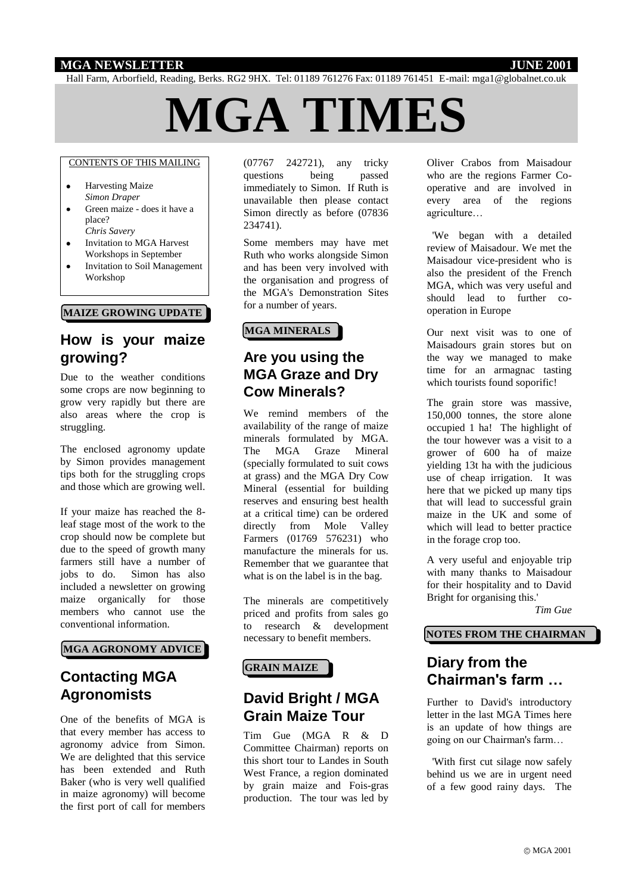### **MGA NEWSLETTER JUNE 2001**

Hall Farm, Arborfield, Reading, Berks. RG2 9HX. Tel: 01189 761276 Fax: 01189 761451 E-mail: mga1@globalnet.co.uk

# **MGA TIMES**

#### CONTENTS OF THIS MAILING

- $\bullet$ Harvesting Maize *Simon Draper*
- $\bullet$ Green maize - does it have a place? *Chris Savery*
- Invitation to MGA Harvest Workshops in September
- Invitation to Soil Management Workshop

#### **MAIZE GROWING UPDATE**

# **How is your maize growing?**

Due to the weather conditions some crops are now beginning to grow very rapidly but there are also areas where the crop is struggling.

The enclosed agronomy update by Simon provides management tips both for the struggling crops and those which are growing well.

If your maize has reached the 8 leaf stage most of the work to the crop should now be complete but due to the speed of growth many farmers still have a number of jobs to do. Simon has also included a newsletter on growing maize organically for those members who cannot use the conventional information.

#### **MGA AGRONOMY ADVICE**

# **Contacting MGA Agronomists**

One of the benefits of MGA is that every member has access to agronomy advice from Simon. We are delighted that this service has been extended and Ruth Baker (who is very well qualified in maize agronomy) will become the first port of call for members

(07767 242721), any tricky questions being passed immediately to Simon. If Ruth is unavailable then please contact Simon directly as before (07836 234741).

Some members may have met Ruth who works alongside Simon and has been very involved with the organisation and progress of the MGA's Demonstration Sites for a number of years.

#### **MGA MINERALS**

## **Are you using the MGA Graze and Dry Cow Minerals?**

We remind members of the availability of the range of maize minerals formulated by MGA. The MGA Graze Mineral (specially formulated to suit cows at grass) and the MGA Dry Cow Mineral (essential for building reserves and ensuring best health at a critical time) can be ordered directly from Mole Valley Farmers (01769 576231) who manufacture the minerals for us. Remember that we guarantee that what is on the label is in the bag.

The minerals are competitively priced and profits from sales go to research & development necessary to benefit members.

#### **GRAIN MAIZE**

# **David Bright / MGA Grain Maize Tour**

Tim Gue (MGA R & D Committee Chairman) reports on this short tour to Landes in South West France, a region dominated by grain maize and Fois-gras production. The tour was led by

Oliver Crabos from Maisadour who are the regions Farmer Cooperative and are involved in every area of the regions agriculture…

 'We began with a detailed review of Maisadour. We met the Maisadour vice-president who is also the president of the French MGA, which was very useful and should lead to further cooperation in Europe

Our next visit was to one of Maisadours grain stores but on the way we managed to make time for an armagnac tasting which tourists found soporific!

The grain store was massive, 150,000 tonnes, the store alone occupied 1 ha! The highlight of the tour however was a visit to a grower of 600 ha of maize yielding 13t ha with the judicious use of cheap irrigation. It was here that we picked up many tips that will lead to successful grain maize in the UK and some of which will lead to better practice in the forage crop too.

A very useful and enjoyable trip with many thanks to Maisadour for their hospitality and to David Bright for organising this.'

*Tim Gue*

#### **NOTES FROM THE CHAIRMAN**

# **Diary from the Chairman's farm …**

Further to David's introductory letter in the last MGA Times here is an update of how things are going on our Chairman's farm…

 'With first cut silage now safely behind us we are in urgent need of a few good rainy days. The